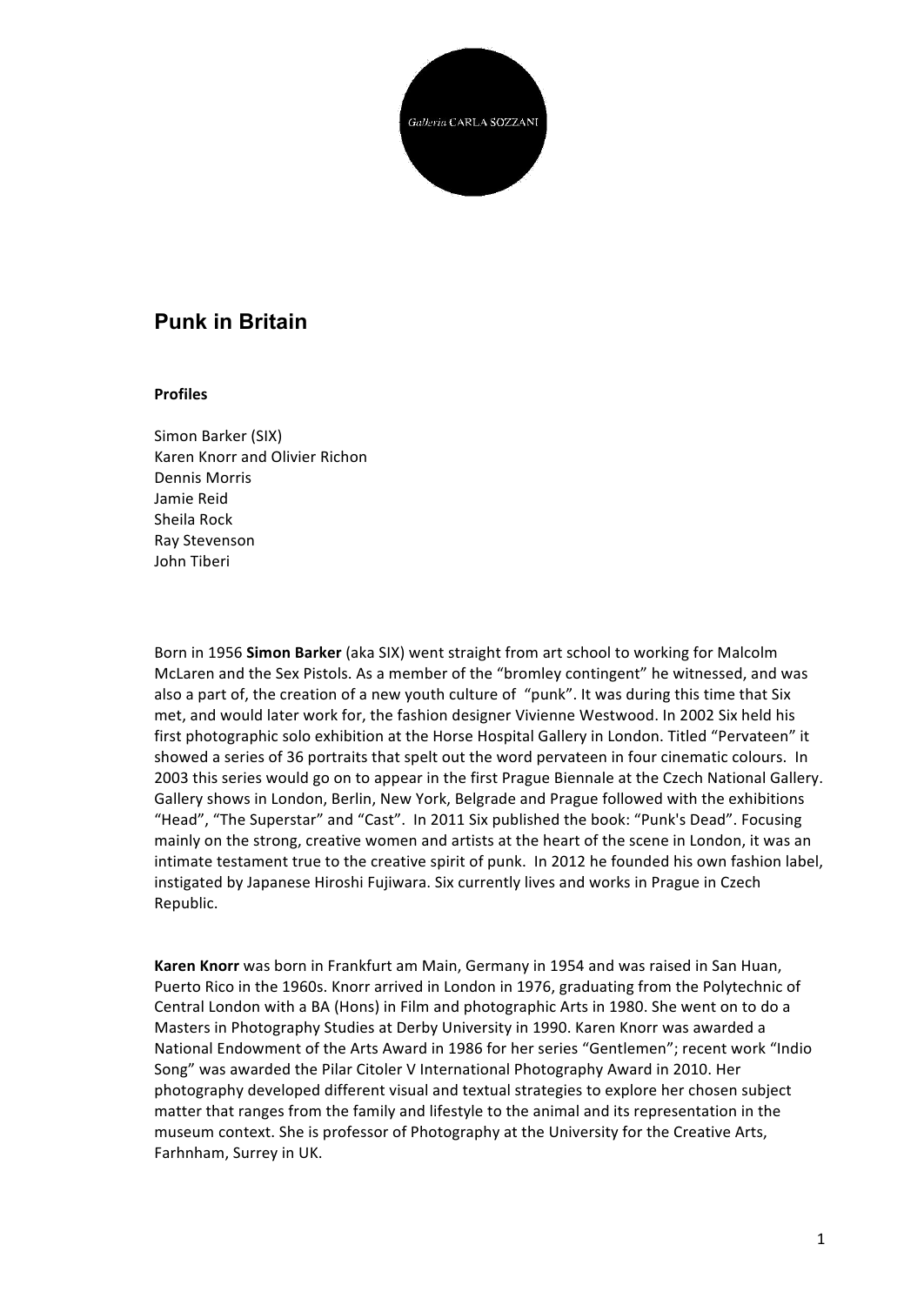

## **Punk in Britain**

## **Profiles**

Simon Barker (SIX) Karen Knorr and Olivier Richon Dennis Morris Jamie Reid Sheila Rock Ray Stevenson John Tiberi

Born in 1956 **Simon Barker** (aka SIX) went straight from art school to working for Malcolm McLaren and the Sex Pistols. As a member of the "bromley contingent" he witnessed, and was also a part of, the creation of a new youth culture of "punk". It was during this time that Six met, and would later work for, the fashion designer Vivienne Westwood. In 2002 Six held his first photographic solo exhibition at the Horse Hospital Gallery in London. Titled "Pervateen" it showed a series of 36 portraits that spelt out the word pervateen in four cinematic colours. In 2003 this series would go on to appear in the first Prague Biennale at the Czech National Gallery. Gallery shows in London, Berlin, New York, Belgrade and Prague followed with the exhibitions "Head", "The Superstar" and "Cast". In 2011 Six published the book: "Punk's Dead". Focusing mainly on the strong, creative women and artists at the heart of the scene in London, it was an intimate testament true to the creative spirit of punk. In 2012 he founded his own fashion label, instigated by Japanese Hiroshi Fujiwara. Six currently lives and works in Prague in Czech Republic.

**Karen Knorr** was born in Frankfurt am Main, Germany in 1954 and was raised in San Huan, Puerto Rico in the 1960s. Knorr arrived in London in 1976, graduating from the Polytechnic of Central London with a BA (Hons) in Film and photographic Arts in 1980. She went on to do a Masters in Photography Studies at Derby University in 1990. Karen Knorr was awarded a National Endowment of the Arts Award in 1986 for her series "Gentlemen"; recent work "Indio Song" was awarded the Pilar Citoler V International Photography Award in 2010. Her photography developed different visual and textual strategies to explore her chosen subject matter that ranges from the family and lifestyle to the animal and its representation in the museum context. She is professor of Photography at the University for the Creative Arts, Farhnham, Surrey in UK.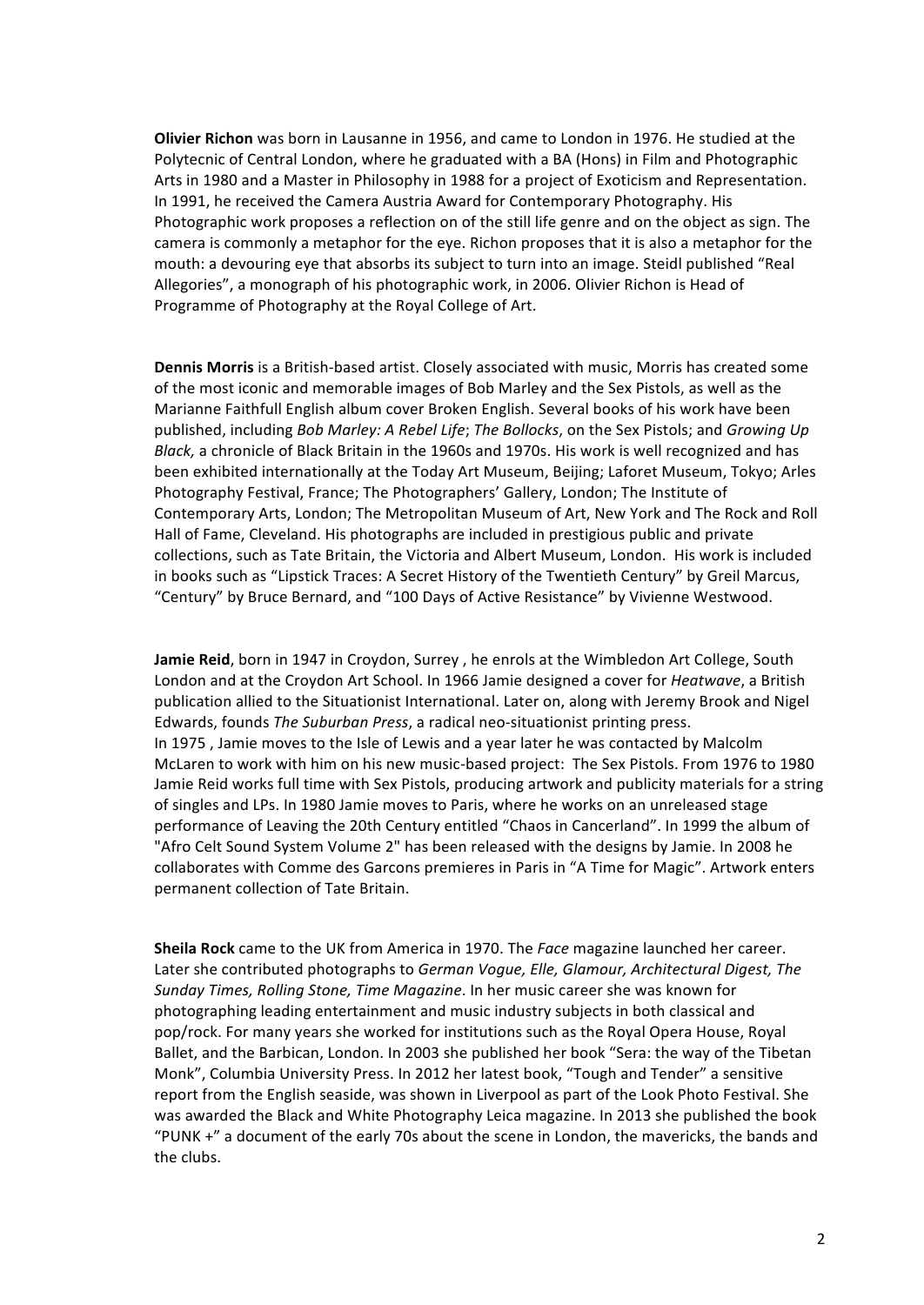**Olivier Richon** was born in Lausanne in 1956, and came to London in 1976. He studied at the Polytecnic of Central London, where he graduated with a BA (Hons) in Film and Photographic Arts in 1980 and a Master in Philosophy in 1988 for a project of Exoticism and Representation. In 1991, he received the Camera Austria Award for Contemporary Photography. His Photographic work proposes a reflection on of the still life genre and on the object as sign. The camera is commonly a metaphor for the eye. Richon proposes that it is also a metaphor for the mouth: a devouring eye that absorbs its subject to turn into an image. Steidl published "Real Allegories", a monograph of his photographic work, in 2006. Olivier Richon is Head of Programme of Photography at the Royal College of Art.

**Dennis Morris** is a British-based artist. Closely associated with music, Morris has created some of the most iconic and memorable images of Bob Marley and the Sex Pistols, as well as the Marianne Faithfull English album cover Broken English. Several books of his work have been published, including *Bob Marley: A Rebel Life*; *The Bollocks*, on the Sex Pistols; and *Growing Up Black*, a chronicle of Black Britain in the 1960s and 1970s. His work is well recognized and has been exhibited internationally at the Today Art Museum, Beijing; Laforet Museum, Tokyo; Arles Photography Festival, France; The Photographers' Gallery, London; The Institute of Contemporary Arts, London; The Metropolitan Museum of Art, New York and The Rock and Roll Hall of Fame, Cleveland. His photographs are included in prestigious public and private collections, such as Tate Britain, the Victoria and Albert Museum, London. His work is included in books such as "Lipstick Traces: A Secret History of the Twentieth Century" by Greil Marcus, "Century" by Bruce Bernard, and "100 Days of Active Resistance" by Vivienne Westwood.

**Jamie Reid**, born in 1947 in Croydon, Surrey, he enrols at the Wimbledon Art College, South London and at the Croydon Art School. In 1966 Jamie designed a cover for *Heatwave*, a British publication allied to the Situationist International. Later on, along with Jeremy Brook and Nigel Edwards, founds *The Suburban Press*, a radical neo-situationist printing press. In 1975, Jamie moves to the Isle of Lewis and a year later he was contacted by Malcolm McLaren to work with him on his new music-based project: The Sex Pistols. From 1976 to 1980 Jamie Reid works full time with Sex Pistols, producing artwork and publicity materials for a string of singles and LPs. In 1980 Jamie moves to Paris, where he works on an unreleased stage performance of Leaving the 20th Century entitled "Chaos in Cancerland". In 1999 the album of "Afro Celt Sound System Volume 2" has been released with the designs by Jamie. In 2008 he collaborates with Comme des Garcons premieres in Paris in "A Time for Magic". Artwork enters permanent collection of Tate Britain.

**Sheila Rock** came to the UK from America in 1970. The *Face* magazine launched her career. Later she contributed photographs to *German Vogue, Elle, Glamour, Architectural Digest, The Sunday Times, Rolling Stone, Time Magazine*. In her music career she was known for photographing leading entertainment and music industry subjects in both classical and pop/rock. For many years she worked for institutions such as the Royal Opera House, Royal Ballet, and the Barbican, London. In 2003 she published her book "Sera: the way of the Tibetan Monk", Columbia University Press. In 2012 her latest book, "Tough and Tender" a sensitive report from the English seaside, was shown in Liverpool as part of the Look Photo Festival. She was awarded the Black and White Photography Leica magazine. In 2013 she published the book "PUNK  $+$ " a document of the early 70s about the scene in London, the mavericks, the bands and the clubs.